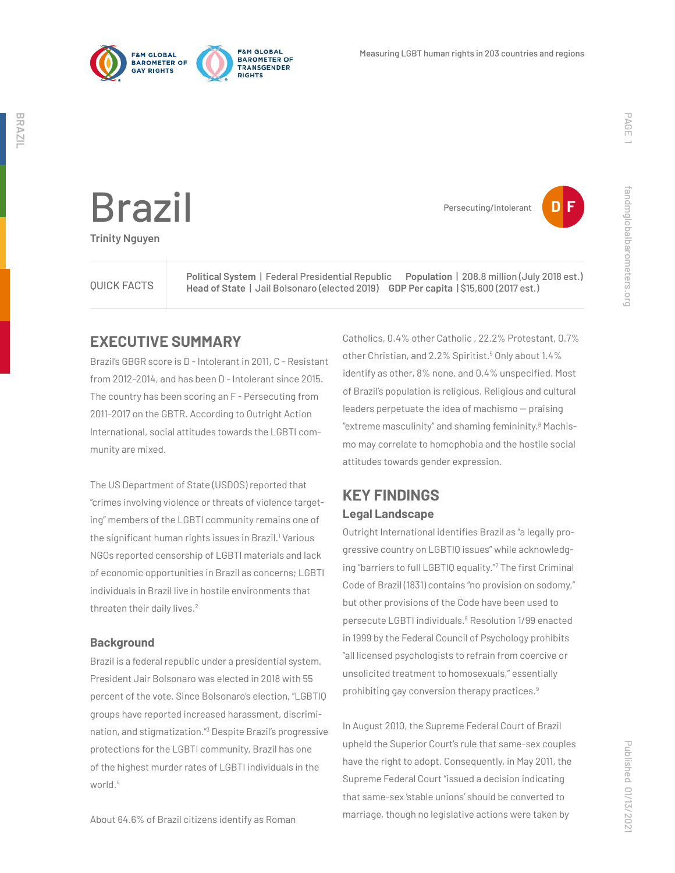

Brazil

**Trinity Nguyen**



fandmglobalbarometers.org

fandmglobalbarometers.org

Persecuting/Intolerant



**Political System** | Federal Presidential Republic **Population** | 208.8 million (July 2018 est.)<br>
QUICK FACTS Head of State | Jail Belsonare (elected 2019) GDP Per capita | S15.600 (2017 est.) **Head of State** | Jail Bolsonaro (elected 2019) **GDP Per capita** | \$15,600 (2017 est.)

# **EXECUTIVE SUMMARY**

Brazil's GBGR score is D - Intolerant in 2011, C - Resistant from 2012-2014, and has been D - Intolerant since 2015. The country has been scoring an F - Persecuting from 2011-2017 on the GBTR. According to Outright Action International, social attitudes towards the LGBTI community are mixed.

The US Department of State (USDOS) reported that "crimes involving violence or threats of violence targeting" members of the LGBTI community remains one of the significant human rights issues in Brazil.<sup>1</sup> Various NGOs reported censorship of LGBTI materials and lack of economic opportunities in Brazil as concerns; LGBTI individuals in Brazil live in hostile environments that threaten their daily lives.<sup>2</sup>

## **Background**

Brazil is a federal republic under a presidential system. President Jair Bolsonaro was elected in 2018 with 55 percent of the vote. Since Bolsonaro's election, "LGBTIQ groups have reported increased harassment, discrimination, and stigmatization."3 Despite Brazil's progressive protections for the LGBTI community, Brazil has one of the highest murder rates of LGBTI individuals in the world.<sup>4</sup>

About 64.6% of Brazil citizens identify as Roman

Catholics, 0.4% other Catholic , 22.2% Protestant, 0.7% other Christian, and 2.2% Spiritist.<sup>5</sup> Only about 1.4% identify as other, 8% none, and 0.4% unspecified. Most of Brazil's population is religious. Religious and cultural leaders perpetuate the idea of machismo  $-$  praising "extreme masculinity" and shaming femininity.6 Machismo may correlate to homophobia and the hostile social attitudes towards gender expression.

# **KEY FINDINGS Legal Landscape**

Outright International identifies Brazil as "a legally progressive country on LGBTIQ issues" while acknowledging "barriers to full LGBTIQ equality."7 The first Criminal Code of Brazil (1831) contains "no provision on sodomy," but other provisions of the Code have been used to persecute LGBTI individuals.<sup>8</sup> Resolution 1/99 enacted in 1999 by the Federal Council of Psychology prohibits "all licensed psychologists to refrain from coercive or unsolicited treatment to homosexuals," essentially prohibiting gay conversion therapy practices.9

In August 2010, the Supreme Federal Court of Brazil upheld the Superior Court's rule that same-sex couples have the right to adopt. Consequently, in May 2011, the Supreme Federal Court "issued a decision indicating that same-sex 'stable unions' should be converted to marriage, though no legislative actions were taken by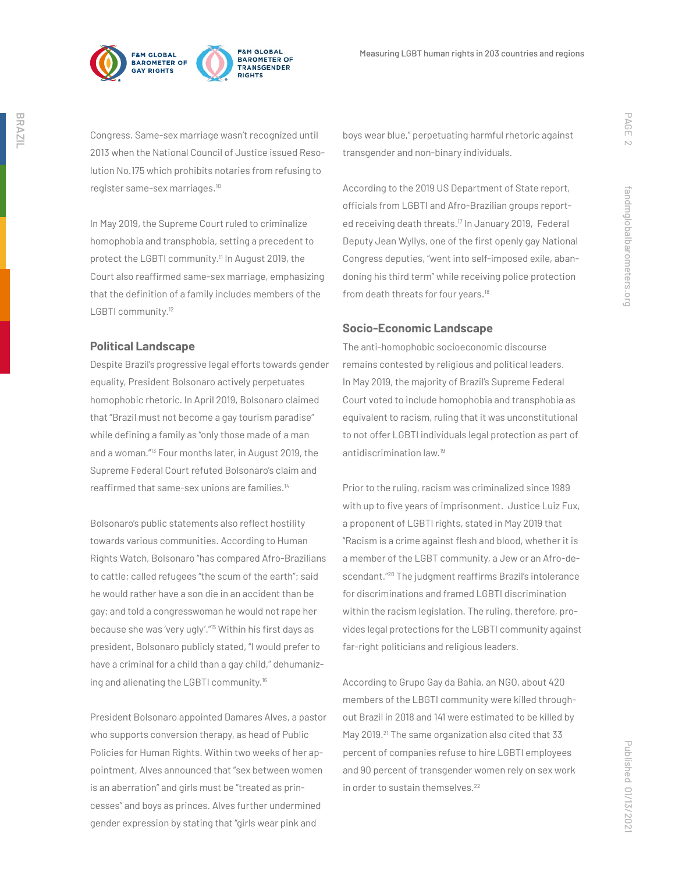



Congress. Same-sex marriage wasn't recognized until 2013 when the National Council of Justice issued Resolution No.175 which prohibits notaries from refusing to register same-sex marriages.10

In May 2019, the Supreme Court ruled to criminalize homophobia and transphobia, setting a precedent to protect the LGBTI community.<sup>11</sup> In August 2019, the Court also reaffirmed same-sex marriage, emphasizing that the definition of a family includes members of the LGBTI community.<sup>12</sup>

## **Political Landscape**

Despite Brazil's progressive legal efforts towards gender equality, President Bolsonaro actively perpetuates homophobic rhetoric. In April 2019, Bolsonaro claimed that "Brazil must not become a gay tourism paradise" while defining a family as "only those made of a man and a woman."13 Four months later, in August 2019, the Supreme Federal Court refuted Bolsonaro's claim and reaffirmed that same-sex unions are families.<sup>14</sup>

Bolsonaro's public statements also reflect hostility towards various communities. According to Human Rights Watch, Bolsonaro "has compared Afro-Brazilians to cattle; called refugees "the scum of the earth"; said he would rather have a son die in an accident than be gay; and told a congresswoman he would not rape her because she was 'very ugly'."15 Within his first days as president, Bolsonaro publicly stated, "I would prefer to have a criminal for a child than a gay child," dehumanizing and alienating the LGBTI community.<sup>16</sup>

President Bolsonaro appointed Damares Alves, a pastor who supports conversion therapy, as head of Public Policies for Human Rights. Within two weeks of her appointment, Alves announced that "sex between women is an aberration" and girls must be "treated as princesses" and boys as princes. Alves further undermined gender expression by stating that "girls wear pink and

boys wear blue," perpetuating harmful rhetoric against transgender and non-binary individuals.

According to the 2019 US Department of State report, officials from LGBTI and Afro-Brazilian groups reported receiving death threats.17 In January 2019, Federal Deputy Jean Wyllys, one of the first openly gay National Congress deputies, "went into self-imposed exile, abandoning his third term" while receiving police protection from death threats for four years.<sup>18</sup>

## **Socio-Economic Landscape**

The anti-homophobic socioeconomic discourse remains contested by religious and political leaders. In May 2019, the majority of Brazil's Supreme Federal Court voted to include homophobia and transphobia as equivalent to racism, ruling that it was unconstitutional to not offer LGBTI individuals legal protection as part of antidiscrimination law.19

Prior to the ruling, racism was criminalized since 1989 with up to five years of imprisonment. Justice Luiz Fux, a proponent of LGBTI rights, stated in May 2019 that "Racism is a crime against flesh and blood, whether it is a member of the LGBT community, a Jew or an Afro-descendant."20 The judgment reaffirms Brazil's intolerance for discriminations and framed LGBTI discrimination within the racism legislation. The ruling, therefore, provides legal protections for the LGBTI community against far-right politicians and religious leaders.

According to Grupo Gay da Bahia, an NGO, about 420 members of the LBGTI community were killed throughout Brazil in 2018 and 141 were estimated to be killed by May 2019.<sup>21</sup> The same organization also cited that 33 percent of companies refuse to hire LGBTI employees and 90 percent of transgender women rely on sex work in order to sustain themselves.<sup>22</sup>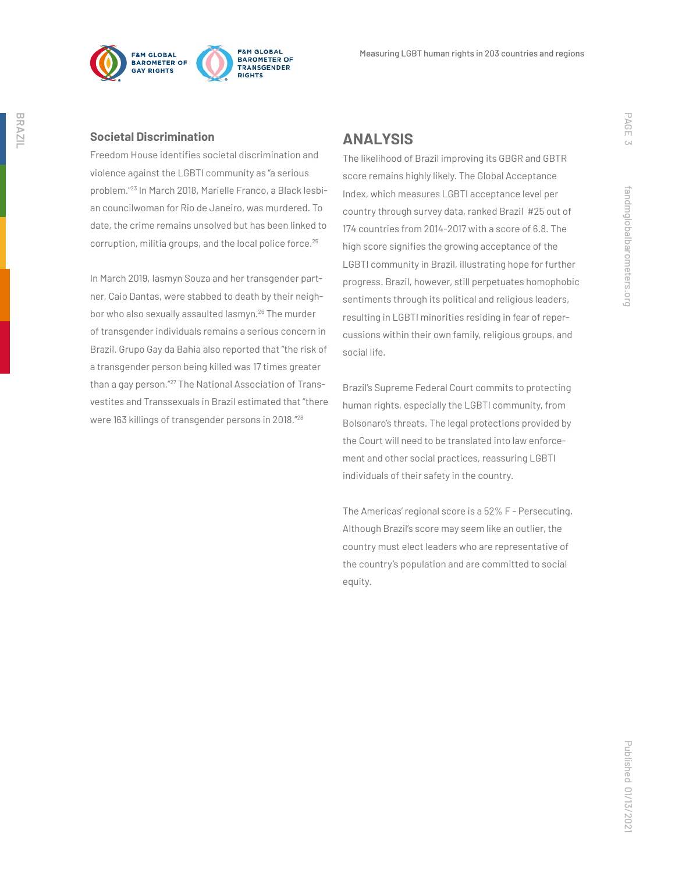



**Societal Discrimination**

Freedom House identifies societal discrimination and violence against the LGBTI community as "a serious problem."23 In March 2018, Marielle Franco, a Black lesbian councilwoman for Rio de Janeiro, was murdered. To date, the crime remains unsolved but has been linked to corruption, militia groups, and the local police force.<sup>25</sup>

In March 2019, Iasmyn Souza and her transgender partner, Caio Dantas, were stabbed to death by their neighbor who also sexually assaulted lasmyn.<sup>26</sup> The murder of transgender individuals remains a serious concern in Brazil. Grupo Gay da Bahia also reported that "the risk of a transgender person being killed was 17 times greater than a gay person."27 The National Association of Transvestites and Transsexuals in Brazil estimated that "there were 163 killings of transgender persons in 2018."28

# **ANALYSIS**

The likelihood of Brazil improving its GBGR and GBTR score remains highly likely. The Global Acceptance Index, which measures LGBTI acceptance level per country through survey data, ranked Brazil #25 out of 174 countries from 2014-2017 with a score of 6.8. The high score signifies the growing acceptance of the LGBTI community in Brazil, illustrating hope for further progress. Brazil, however, still perpetuates homophobic sentiments through its political and religious leaders, resulting in LGBTI minorities residing in fear of repercussions within their own family, religious groups, and social life.

Brazil's Supreme Federal Court commits to protecting human rights, especially the LGBTI community, from Bolsonaro's threats. The legal protections provided by the Court will need to be translated into law enforcement and other social practices, reassuring LGBTI individuals of their safety in the country.

The Americas' regional score is a 52% F - Persecuting. Although Brazil's score may seem like an outlier, the country must elect leaders who are representative of the country's population and are committed to social equity.

PAGE 3